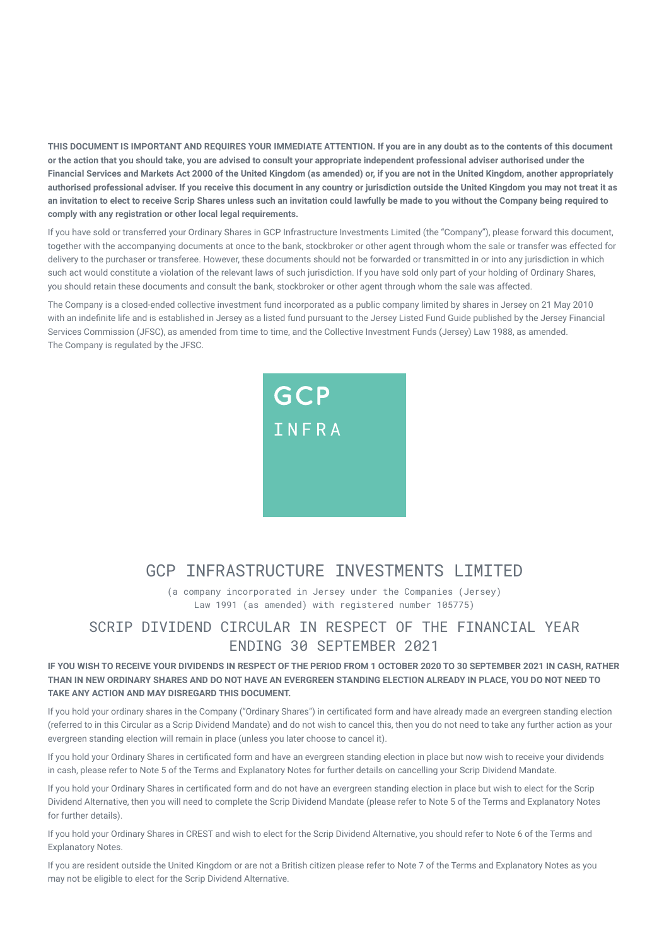**THIS DOCUMENT IS IMPORTANT AND REQUIRES YOUR IMMEDIATE ATTENTION. If you are in any doubt as to the contents of this document or the action that you should take, you are advised to consult your appropriate independent professional adviser authorised under the Financial Services and Markets Act 2000 of the United Kingdom (as amended) or, if you are not in the United Kingdom, another appropriately authorised professional adviser. If you receive this document in any country or jurisdiction outside the United Kingdom you may not treat it as an invitation to elect to receive Scrip Shares unless such an invitation could lawfully be made to you without the Company being required to comply with any registration or other local legal requirements.**

If you have sold or transferred your Ordinary Shares in GCP Infrastructure Investments Limited (the "Company"), please forward this document, together with the accompanying documents at once to the bank, stockbroker or other agent through whom the sale or transfer was effected for delivery to the purchaser or transferee. However, these documents should not be forwarded or transmitted in or into any jurisdiction in which such act would constitute a violation of the relevant laws of such jurisdiction. If you have sold only part of your holding of Ordinary Shares, you should retain these documents and consult the bank, stockbroker or other agent through whom the sale was affected.

The Company is a closed-ended collective investment fund incorporated as a public company limited by shares in Jersey on 21 May 2010 with an indefinite life and is established in Jersey as a listed fund pursuant to the Jersey Listed Fund Guide published by the Jersey Financial Services Commission (JFSC), as amended from time to time, and the Collective Investment Funds (Jersey) Law 1988, as amended. The Company is regulated by the JFSC.



# GCP INFRASTRUCTURE INVESTMENTS LIMITED

(a company incorporated in Jersey under the Companies (Jersey) Law 1991 (as amended) with registered number 105775)

# SCRIP DIVIDEND CIRCULAR IN RESPECT OF THE FINANCIAL YEAR ENDING 30 SEPTEMBER 2021

# **IF YOU WISH TO RECEIVE YOUR DIVIDENDS IN RESPECT OF THE PERIOD FROM 1 OCTOBER 2020 TO 30 SEPTEMBER 2021 IN CASH, RATHER THAN IN NEW ORDINARY SHARES AND DO NOT HAVE AN EVERGREEN STANDING ELECTION ALREADY IN PLACE, YOU DO NOT NEED TO TAKE ANY ACTION AND MAY DISREGARD THIS DOCUMENT.**

If you hold your ordinary shares in the Company ("Ordinary Shares") in certificated form and have already made an evergreen standing election (referred to in this Circular as a Scrip Dividend Mandate) and do not wish to cancel this, then you do not need to take any further action as your evergreen standing election will remain in place (unless you later choose to cancel it).

If you hold your Ordinary Shares in certificated form and have an evergreen standing election in place but now wish to receive your dividends in cash, please refer to Note 5 of the Terms and Explanatory Notes for further details on cancelling your Scrip Dividend Mandate.

If you hold your Ordinary Shares in certificated form and do not have an evergreen standing election in place but wish to elect for the Scrip Dividend Alternative, then you will need to complete the Scrip Dividend Mandate (please refer to Note 5 of the Terms and Explanatory Notes for further details).

If you hold your Ordinary Shares in CREST and wish to elect for the Scrip Dividend Alternative, you should refer to Note 6 of the Terms and Explanatory Notes.

If you are resident outside the United Kingdom or are not a British citizen please refer to Note 7 of the Terms and Explanatory Notes as you may not be eligible to elect for the Scrip Dividend Alternative.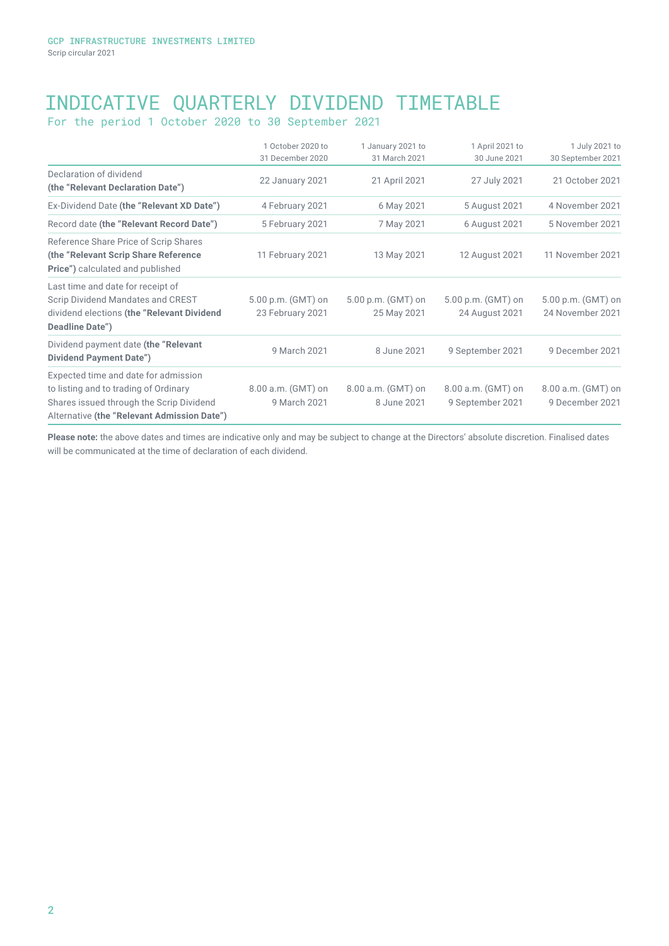# INDICATIVE QUARTERLY DIVIDEND TIMETABLE

For the period 1 October 2020 to 30 September 2021

|                                                                                                                                         | 1 October 2020 to                      | 1 January 2021 to                 | 1 April 2021 to                        | 1 July 2021 to                         |
|-----------------------------------------------------------------------------------------------------------------------------------------|----------------------------------------|-----------------------------------|----------------------------------------|----------------------------------------|
|                                                                                                                                         | 31 December 2020                       | 31 March 2021                     | 30 June 2021                           | 30 September 2021                      |
| Declaration of dividend<br>(the "Relevant Declaration Date")                                                                            | 22 January 2021                        | 21 April 2021                     | 27 July 2021                           | 21 October 2021                        |
| Ex-Dividend Date (the "Relevant XD Date")                                                                                               | 4 February 2021                        | 6 May 2021                        | 5 August 2021                          | 4 November 2021                        |
| Record date (the "Relevant Record Date")                                                                                                | 5 February 2021                        | 7 May 2021                        | 6 August 2021                          | 5 November 2021                        |
| Reference Share Price of Scrip Shares<br>(the "Relevant Scrip Share Reference<br><b>Price")</b> calculated and published                | 11 February 2021                       | 13 May 2021                       | 12 August 2021                         | 11 November 2021                       |
| Last time and date for receipt of<br>Scrip Dividend Mandates and CREST<br>dividend elections (the "Relevant Dividend<br>Deadline Date") | 5.00 p.m. (GMT) on<br>23 February 2021 | 5.00 p.m. (GMT) on<br>25 May 2021 | 5.00 p.m. (GMT) on<br>24 August 2021   | 5.00 p.m. (GMT) on<br>24 November 2021 |
| Dividend payment date (the "Relevant"<br><b>Dividend Payment Date")</b>                                                                 | 9 March 2021                           | 8 June 2021                       | 9 September 2021                       | 9 December 2021                        |
| Expected time and date for admission                                                                                                    |                                        |                                   |                                        |                                        |
| to listing and to trading of Ordinary<br>Shares issued through the Scrip Dividend<br>Alternative (the "Relevant Admission Date")        | 8.00 a.m. (GMT) on<br>9 March 2021     | 8.00 a.m. (GMT) on<br>8 June 2021 | 8.00 a.m. (GMT) on<br>9 September 2021 | 8.00 a.m. (GMT) on<br>9 December 2021  |

**Please note:** the above dates and times are indicative only and may be subject to change at the Directors' absolute discretion. Finalised dates will be communicated at the time of declaration of each dividend.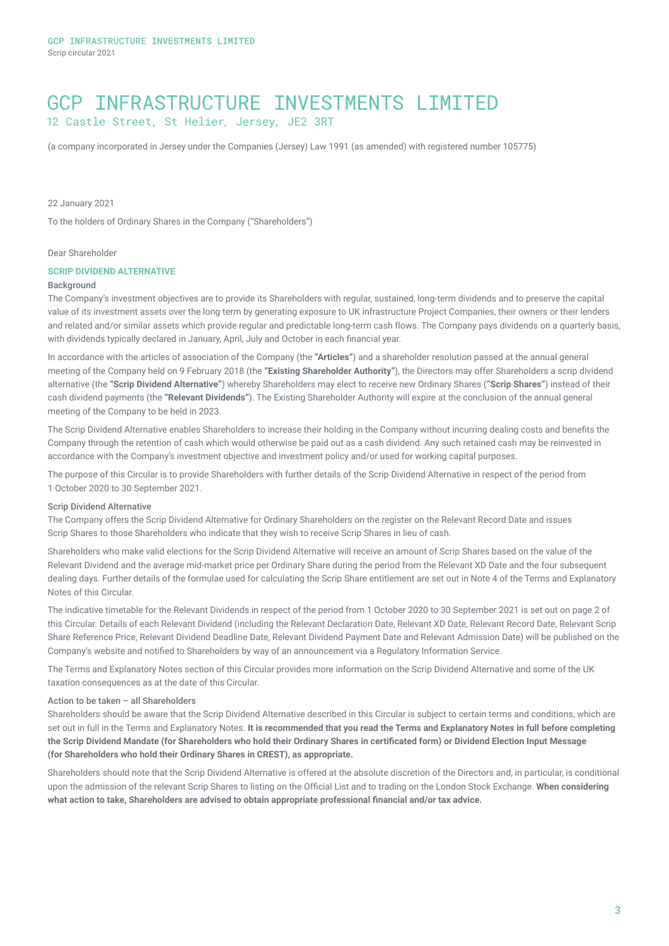# GCP INFRASTRUCTURE INVESTMENTS LIMITED 12 Castle Street, St Helier, Jersey, JE2 3RT

(a company incorporated in Jersey under the Companies (Jersey) Law 1991 (as amended) with registered number 105775)

22 January 2021

To the holders of Ordinary Shares in the Company ("Shareholders")

# Dear Shareholder

### **SCRIP DIVIDEND ALTERNATIVE**

#### **Background**

The Company's investment objectives are to provide its Shareholders with regular, sustained, long-term dividends and to preserve the capital value of its investment assets over the long term by generating exposure to UK infrastructure Project Companies, their owners or their lenders and related and/or similar assets which provide regular and predictable long-term cash flows. The Company pays dividends on a quarterly basis, with dividends typically declared in January, April, July and October in each financial year.

In accordance with the articles of association of the Company (the **"Articles"**) and a shareholder resolution passed at the annual general meeting of the Company held on 9 February 2018 (the **"Existing Shareholder Authority"**), the Directors may offer Shareholders a scrip dividend alternative (the **"Scrip Dividend Alternative"**) whereby Shareholders may elect to receive new Ordinary Shares (**"Scrip Shares"**) instead of their cash dividend payments (the **"Relevant Dividends"**). The Existing Shareholder Authority will expire at the conclusion of the annual general meeting of the Company to be held in 2023.

The Scrip Dividend Alternative enables Shareholders to increase their holding in the Company without incurring dealing costs and benefits the Company through the retention of cash which would otherwise be paid out as a cash dividend. Any such retained cash may be reinvested in accordance with the Company's investment objective and investment policy and/or used for working capital purposes.

The purpose of this Circular is to provide Shareholders with further details of the Scrip Dividend Alternative in respect of the period from 1 October 2020 to 30 September 2021.

### Scrip Dividend Alternative

The Company offers the Scrip Dividend Alternative for Ordinary Shareholders on the register on the Relevant Record Date and issues Scrip Shares to those Shareholders who indicate that they wish to receive Scrip Shares in lieu of cash.

Shareholders who make valid elections for the Scrip Dividend Alternative will receive an amount of Scrip Shares based on the value of the Relevant Dividend and the average mid-market price per Ordinary Share during the period from the Relevant XD Date and the four subsequent dealing days. Further details of the formulae used for calculating the Scrip Share entitlement are set out in Note 4 of the Terms and Explanatory Notes of this Circular.

The indicative timetable for the Relevant Dividends in respect of the period from 1 October 2020 to 30 September 2021 is set out on page 2 of this Circular. Details of each Relevant Dividend (including the Relevant Declaration Date, Relevant XD Date, Relevant Record Date, Relevant Scrip Share Reference Price, Relevant Dividend Deadline Date, Relevant Dividend Payment Date and Relevant Admission Date) will be published on the Company's website and notified to Shareholders by way of an announcement via a Regulatory Information Service.

The Terms and Explanatory Notes section of this Circular provides more information on the Scrip Dividend Alternative and some of the UK taxation consequences as at the date of this Circular.

# Action to be taken – all Shareholders

Shareholders should be aware that the Scrip Dividend Alternative described in this Circular is subject to certain terms and conditions, which are set out in full in the Terms and Explanatory Notes. **It is recommended that you read the Terms and Explanatory Notes in full before completing the Scrip Dividend Mandate (for Shareholders who hold their Ordinary Shares in certificated form) or Dividend Election Input Message (for Shareholders who hold their Ordinary Shares in CREST), as appropriate.**

Shareholders should note that the Scrip Dividend Alternative is offered at the absolute discretion of the Directors and, in particular, is conditional upon the admission of the relevant Scrip Shares to listing on the Official List and to trading on the London Stock Exchange. **When considering what action to take, Shareholders are advised to obtain appropriate professional financial and/or tax advice.**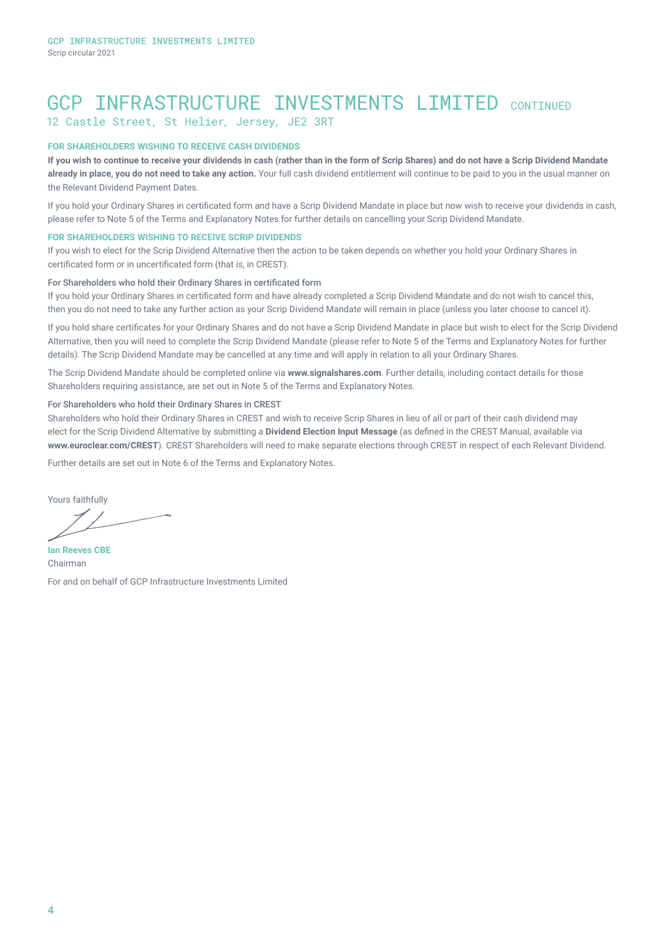# GCP INFRASTRUCTURE INVESTMENTS LIMITED CONTINUED 12 Castle Street, St Helier, Jersey, JE2 3RT

# **FOR SHAREHOLDERS WISHING TO RECEIVE CASH DIVIDENDS**

**If you wish to continue to receive your dividends in cash (rather than in the form of Scrip Shares) and do not have a Scrip Dividend Mandate already in place, you do not need to take any action.** Your full cash dividend entitlement will continue to be paid to you in the usual manner on the Relevant Dividend Payment Dates.

If you hold your Ordinary Shares in certificated form and have a Scrip Dividend Mandate in place but now wish to receive your dividends in cash, please refer to Note 5 of the Terms and Explanatory Notes for further details on cancelling your Scrip Dividend Mandate.

# **FOR SHAREHOLDERS WISHING TO RECEIVE SCRIP DIVIDENDS**

If you wish to elect for the Scrip Dividend Alternative then the action to be taken depends on whether you hold your Ordinary Shares in certificated form or in uncertificated form (that is, in CREST).

# For Shareholders who hold their Ordinary Shares in certificated form

If you hold your Ordinary Shares in certificated form and have already completed a Scrip Dividend Mandate and do not wish to cancel this, then you do not need to take any further action as your Scrip Dividend Mandate will remain in place (unless you later choose to cancel it).

If you hold share certificates for your Ordinary Shares and do not have a Scrip Dividend Mandate in place but wish to elect for the Scrip Dividend Alternative, then you will need to complete the Scrip Dividend Mandate (please refer to Note 5 of the Terms and Explanatory Notes for further details). The Scrip Dividend Mandate may be cancelled at any time and will apply in relation to all your Ordinary Shares.

The Scrip Dividend Mandate should be completed online via **www.signalshares.com**. Further details, including contact details for those Shareholders requiring assistance, are set out in Note 5 of the Terms and Explanatory Notes.

## For Shareholders who hold their Ordinary Shares in CREST

Shareholders who hold their Ordinary Shares in CREST and wish to receive Scrip Shares in lieu of all or part of their cash dividend may elect for the Scrip Dividend Alternative by submitting a **Dividend Election Input Message** (as defined in the CREST Manual, available via **www.euroclear.com/CREST**). CREST Shareholders will need to make separate elections through CREST in respect of each Relevant Dividend.

Further details are set out in Note 6 of the Terms and Explanatory Notes.

Yours faithfully

**Ian Reeves CBE** Chairman For and on behalf of GCP Infrastructure Investments Limited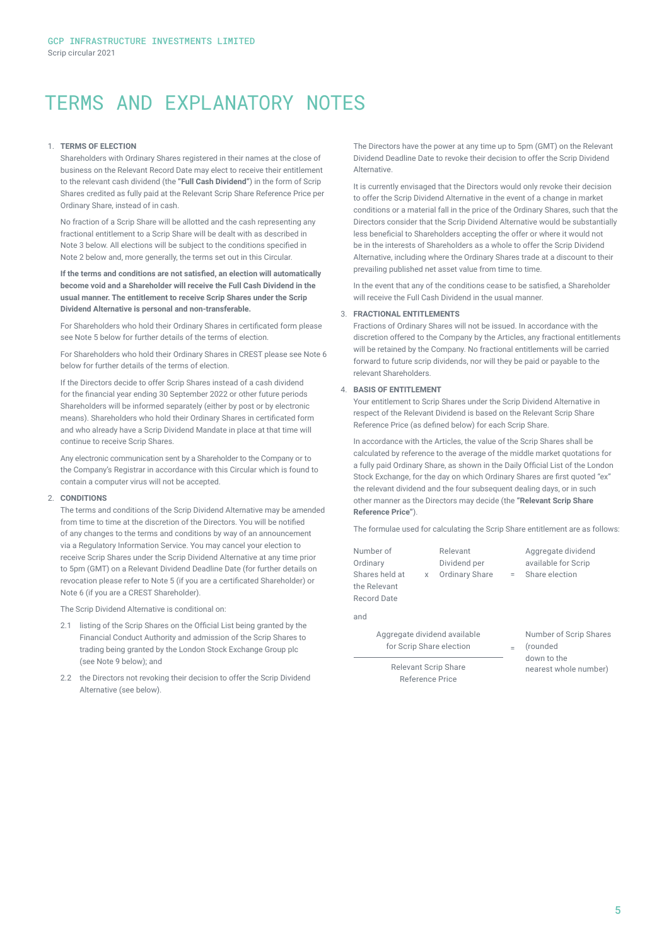# TERMS AND EXPLANATORY NOTES

## 1. **TERMS OF ELECTION**

Shareholders with Ordinary Shares registered in their names at the close of business on the Relevant Record Date may elect to receive their entitlement to the relevant cash dividend (the **"Full Cash Dividend"**) in the form of Scrip Shares credited as fully paid at the Relevant Scrip Share Reference Price per Ordinary Share, instead of in cash.

No fraction of a Scrip Share will be allotted and the cash representing any fractional entitlement to a Scrip Share will be dealt with as described in Note 3 below. All elections will be subject to the conditions specified in Note 2 below and, more generally, the terms set out in this Circular.

**If the terms and conditions are not satisfied, an election will automatically become void and a Shareholder will receive the Full Cash Dividend in the usual manner. The entitlement to receive Scrip Shares under the Scrip Dividend Alternative is personal and non-transferable.**

For Shareholders who hold their Ordinary Shares in certificated form please see Note 5 below for further details of the terms of election.

For Shareholders who hold their Ordinary Shares in CREST please see Note 6 below for further details of the terms of election.

If the Directors decide to offer Scrip Shares instead of a cash dividend for the financial year ending 30 September 2022 or other future periods Shareholders will be informed separately (either by post or by electronic means). Shareholders who hold their Ordinary Shares in certificated form and who already have a Scrip Dividend Mandate in place at that time will continue to receive Scrip Shares.

Any electronic communication sent by a Shareholder to the Company or to the Company's Registrar in accordance with this Circular which is found to contain a computer virus will not be accepted.

#### 2. **CONDITIONS**

The terms and conditions of the Scrip Dividend Alternative may be amended from time to time at the discretion of the Directors. You will be notified of any changes to the terms and conditions by way of an announcement via a Regulatory Information Service. You may cancel your election to receive Scrip Shares under the Scrip Dividend Alternative at any time prior to 5pm (GMT) on a Relevant Dividend Deadline Date (for further details on revocation please refer to Note 5 (if you are a certificated Shareholder) or Note 6 (if you are a CREST Shareholder).

The Scrip Dividend Alternative is conditional on:

- 2.1 listing of the Scrip Shares on the Official List being granted by the Financial Conduct Authority and admission of the Scrip Shares to trading being granted by the London Stock Exchange Group plc (see Note 9 below); and
- 2.2 the Directors not revoking their decision to offer the Scrip Dividend Alternative (see below).

The Directors have the power at any time up to 5pm (GMT) on the Relevant Dividend Deadline Date to revoke their decision to offer the Scrip Dividend Alternative.

It is currently envisaged that the Directors would only revoke their decision to offer the Scrip Dividend Alternative in the event of a change in market conditions or a material fall in the price of the Ordinary Shares, such that the Directors consider that the Scrip Dividend Alternative would be substantially less beneficial to Shareholders accepting the offer or where it would not be in the interests of Shareholders as a whole to offer the Scrip Dividend Alternative, including where the Ordinary Shares trade at a discount to their prevailing published net asset value from time to time.

In the event that any of the conditions cease to be satisfied, a Shareholder will receive the Full Cash Dividend in the usual manner.

# 3. **FRACTIONAL ENTITLEMENTS**

Fractions of Ordinary Shares will not be issued. In accordance with the discretion offered to the Company by the Articles, any fractional entitlements will be retained by the Company. No fractional entitlements will be carried forward to future scrip dividends, nor will they be paid or payable to the relevant Shareholders.

## 4. **BASIS OF ENTITLEMENT**

Your entitlement to Scrip Shares under the Scrip Dividend Alternative in respect of the Relevant Dividend is based on the Relevant Scrip Share Reference Price (as defined below) for each Scrip Share.

In accordance with the Articles, the value of the Scrip Shares shall be calculated by reference to the average of the middle market quotations for a fully paid Ordinary Share, as shown in the Daily Official List of the London Stock Exchange, for the day on which Ordinary Shares are first quoted "ex" the relevant dividend and the four subsequent dealing days, or in such other manner as the Directors may decide (the **"Relevant Scrip Share Reference Price"**).

The formulae used for calculating the Scrip Share entitlement are as follows:

| Number of<br>Ordinary       | Relevant<br>Dividend per | Aggregate dividend<br>available for Scrip |
|-----------------------------|--------------------------|-------------------------------------------|
| Shares held at              | x Ordinary Share         | = Share election                          |
| the Relevant<br>Record Date |                          |                                           |
| and                         |                          |                                           |

Aggregate dividend available for Scrip Share election

Number of Scrip Shares (rounded down to the nearest whole number)

Relevant Scrip Share Reference Price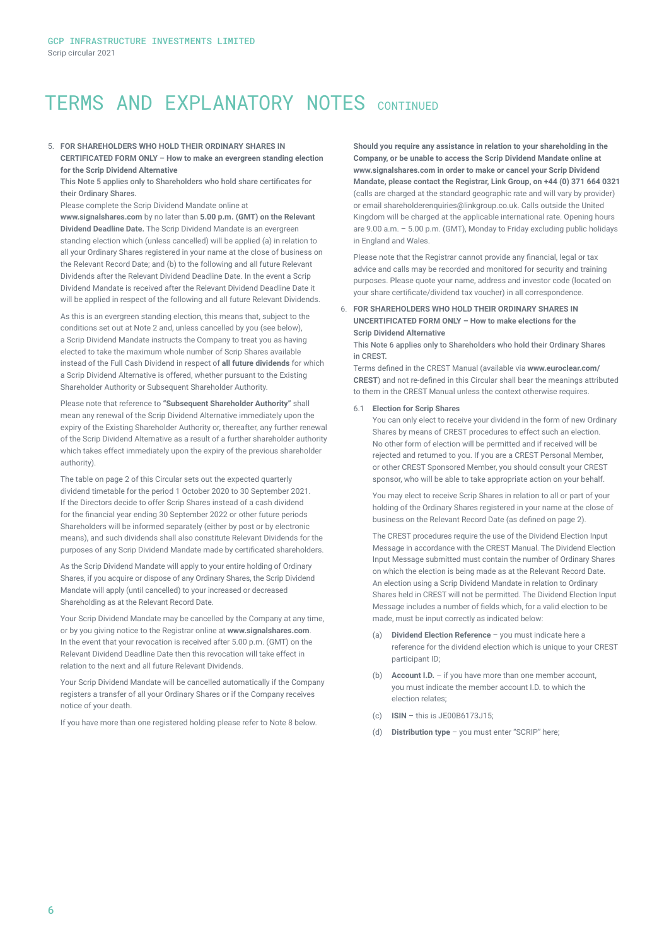# TERMS AND EXPLANATORY NOTES CONTINUED

## 5. **FOR SHAREHOLDERS WHO HOLD THEIR ORDINARY SHARES IN CERTIFICATED FORM ONLY – How to make an evergreen standing election for the Scrip Dividend Alternative**

This Note 5 applies only to Shareholders who hold share certificates for their Ordinary Shares.

Please complete the Scrip Dividend Mandate online at

**www.signalshares.com** by no later than **5.00 p.m. (GMT) on the Relevant Dividend Deadline Date.** The Scrip Dividend Mandate is an evergreen standing election which (unless cancelled) will be applied (a) in relation to all your Ordinary Shares registered in your name at the close of business on the Relevant Record Date; and (b) to the following and all future Relevant Dividends after the Relevant Dividend Deadline Date. In the event a Scrip Dividend Mandate is received after the Relevant Dividend Deadline Date it will be applied in respect of the following and all future Relevant Dividends.

As this is an evergreen standing election, this means that, subject to the conditions set out at Note 2 and, unless cancelled by you (see below), a Scrip Dividend Mandate instructs the Company to treat you as having elected to take the maximum whole number of Scrip Shares available instead of the Full Cash Dividend in respect of **all future dividends** for which a Scrip Dividend Alternative is offered, whether pursuant to the Existing Shareholder Authority or Subsequent Shareholder Authority.

Please note that reference to **"Subsequent Shareholder Authority"** shall mean any renewal of the Scrip Dividend Alternative immediately upon the expiry of the Existing Shareholder Authority or, thereafter, any further renewal of the Scrip Dividend Alternative as a result of a further shareholder authority which takes effect immediately upon the expiry of the previous shareholder authority).

The table on page 2 of this Circular sets out the expected quarterly dividend timetable for the period 1 October 2020 to 30 September 2021. If the Directors decide to offer Scrip Shares instead of a cash dividend for the financial year ending 30 September 2022 or other future periods Shareholders will be informed separately (either by post or by electronic means), and such dividends shall also constitute Relevant Dividends for the purposes of any Scrip Dividend Mandate made by certificated shareholders.

As the Scrip Dividend Mandate will apply to your entire holding of Ordinary Shares, if you acquire or dispose of any Ordinary Shares, the Scrip Dividend Mandate will apply (until cancelled) to your increased or decreased Shareholding as at the Relevant Record Date.

Your Scrip Dividend Mandate may be cancelled by the Company at any time, or by you giving notice to the Registrar online at **www.signalshares.com**. In the event that your revocation is received after 5.00 p.m. (GMT) on the Relevant Dividend Deadline Date then this revocation will take effect in relation to the next and all future Relevant Dividends.

Your Scrip Dividend Mandate will be cancelled automatically if the Company registers a transfer of all your Ordinary Shares or if the Company receives notice of your death.

If you have more than one registered holding please refer to Note 8 below.

**Should you require any assistance in relation to your shareholding in the Company, or be unable to access the Scrip Dividend Mandate online at www.signalshares.com in order to make or cancel your Scrip Dividend Mandate, please contact the Registrar, Link Group, on +44 (0) 371 664 0321** (calls are charged at the standard geographic rate and will vary by provider) or email shareholderenquiries@linkgroup.co.uk. Calls outside the United Kingdom will be charged at the applicable international rate. Opening hours are 9.00 a.m. – 5.00 p.m. (GMT), Monday to Friday excluding public holidays in England and Wales.

Please note that the Registrar cannot provide any financial, legal or tax advice and calls may be recorded and monitored for security and training purposes. Please quote your name, address and investor code (located on your share certificate/dividend tax voucher) in all correspondence.

## 6. **FOR SHAREHOLDERS WHO HOLD THEIR ORDINARY SHARES IN UNCERTIFICATED FORM ONLY – How to make elections for the Scrip Dividend Alternative**

This Note 6 applies only to Shareholders who hold their Ordinary Shares in CREST.

Terms defined in the CREST Manual (available via **www.euroclear.com/ CREST**) and not re-defined in this Circular shall bear the meanings attributed to them in the CREST Manual unless the context otherwise requires.

#### 6.1 **Election for Scrip Shares**

You can only elect to receive your dividend in the form of new Ordinary Shares by means of CREST procedures to effect such an election. No other form of election will be permitted and if received will be rejected and returned to you. If you are a CREST Personal Member, or other CREST Sponsored Member, you should consult your CREST sponsor, who will be able to take appropriate action on your behalf.

You may elect to receive Scrip Shares in relation to all or part of your holding of the Ordinary Shares registered in your name at the close of business on the Relevant Record Date (as defined on page 2).

The CREST procedures require the use of the Dividend Election Input Message in accordance with the CREST Manual. The Dividend Election Input Message submitted must contain the number of Ordinary Shares on which the election is being made as at the Relevant Record Date. An election using a Scrip Dividend Mandate in relation to Ordinary Shares held in CREST will not be permitted. The Dividend Election Input Message includes a number of fields which, for a valid election to be made, must be input correctly as indicated below:

- (a) **Dividend Election Reference**  you must indicate here a reference for the dividend election which is unique to your CREST participant ID;
- (b) **Account I.D.** if you have more than one member account, you must indicate the member account I.D. to which the election relates;
- (c) **ISIN** this is JE00B6173J15;
- (d) **Distribution type** you must enter "SCRIP" here;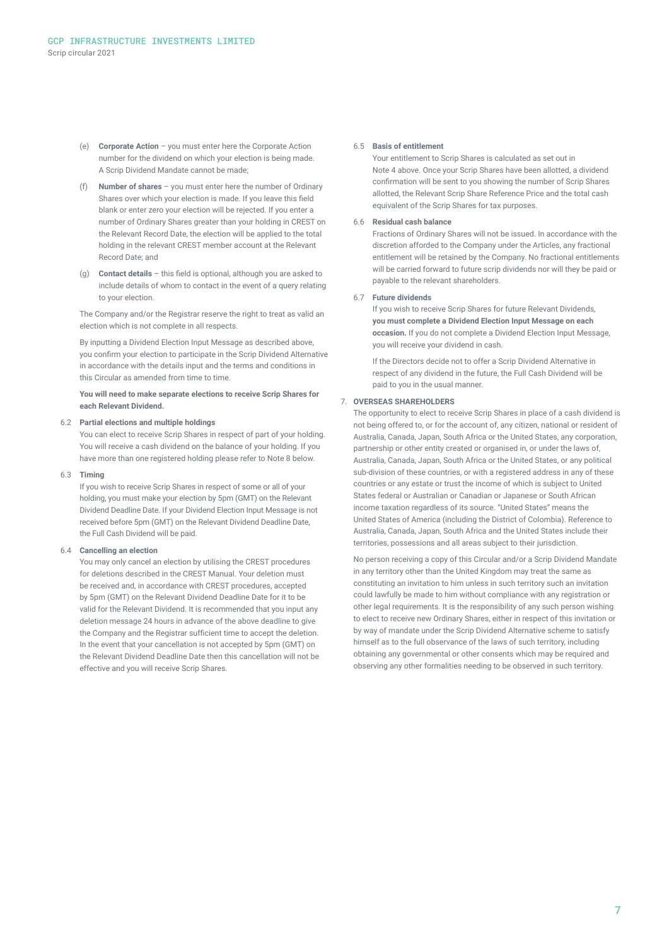- (e) **Corporate Action** you must enter here the Corporate Action number for the dividend on which your election is being made. A Scrip Dividend Mandate cannot be made;
- (f) **Number of shares** you must enter here the number of Ordinary Shares over which your election is made. If you leave this field blank or enter zero your election will be rejected. If you enter a number of Ordinary Shares greater than your holding in CREST on the Relevant Record Date, the election will be applied to the total holding in the relevant CREST member account at the Relevant Record Date; and
- (g) **Contact details**  this field is optional, although you are asked to include details of whom to contact in the event of a query relating to your election.

The Company and/or the Registrar reserve the right to treat as valid an election which is not complete in all respects.

By inputting a Dividend Election Input Message as described above, you confirm your election to participate in the Scrip Dividend Alternative in accordance with the details input and the terms and conditions in this Circular as amended from time to time.

#### **You will need to make separate elections to receive Scrip Shares for each Relevant Dividend.**

#### 6.2 **Partial elections and multiple holdings**

You can elect to receive Scrip Shares in respect of part of your holding. You will receive a cash dividend on the balance of your holding. If you have more than one registered holding please refer to Note 8 below.

#### 6.3 **Timing**

If you wish to receive Scrip Shares in respect of some or all of your holding, you must make your election by 5pm (GMT) on the Relevant Dividend Deadline Date. If your Dividend Election Input Message is not received before 5pm (GMT) on the Relevant Dividend Deadline Date, the Full Cash Dividend will be paid.

#### 6.4 **Cancelling an election**

You may only cancel an election by utilising the CREST procedures for deletions described in the CREST Manual. Your deletion must be received and, in accordance with CREST procedures, accepted by 5pm (GMT) on the Relevant Dividend Deadline Date for it to be valid for the Relevant Dividend. It is recommended that you input any deletion message 24 hours in advance of the above deadline to give the Company and the Registrar sufficient time to accept the deletion. In the event that your cancellation is not accepted by 5pm (GMT) on the Relevant Dividend Deadline Date then this cancellation will not be effective and you will receive Scrip Shares.

#### 6.5 **Basis of entitlement**

Your entitlement to Scrip Shares is calculated as set out in Note 4 above. Once your Scrip Shares have been allotted, a dividend confirmation will be sent to you showing the number of Scrip Shares allotted, the Relevant Scrip Share Reference Price and the total cash equivalent of the Scrip Shares for tax purposes.

#### 6.6 **Residual cash balance**

Fractions of Ordinary Shares will not be issued. In accordance with the discretion afforded to the Company under the Articles, any fractional entitlement will be retained by the Company. No fractional entitlements will be carried forward to future scrip dividends nor will they be paid or payable to the relevant shareholders.

#### 6.7 **Future dividends**

If you wish to receive Scrip Shares for future Relevant Dividends, **you must complete a Dividend Election Input Message on each occasion.** If you do not complete a Dividend Election Input Message, you will receive your dividend in cash.

If the Directors decide not to offer a Scrip Dividend Alternative in respect of any dividend in the future, the Full Cash Dividend will be paid to you in the usual manner.

#### 7. **OVERSEAS SHAREHOLDERS**

The opportunity to elect to receive Scrip Shares in place of a cash dividend is not being offered to, or for the account of, any citizen, national or resident of Australia, Canada, Japan, South Africa or the United States, any corporation, partnership or other entity created or organised in, or under the laws of, Australia, Canada, Japan, South Africa or the United States, or any political sub-division of these countries, or with a registered address in any of these countries or any estate or trust the income of which is subject to United States federal or Australian or Canadian or Japanese or South African income taxation regardless of its source. "United States" means the United States of America (including the District of Colombia). Reference to Australia, Canada, Japan, South Africa and the United States include their territories, possessions and all areas subject to their jurisdiction.

No person receiving a copy of this Circular and/or a Scrip Dividend Mandate in any territory other than the United Kingdom may treat the same as constituting an invitation to him unless in such territory such an invitation could lawfully be made to him without compliance with any registration or other legal requirements. It is the responsibility of any such person wishing to elect to receive new Ordinary Shares, either in respect of this invitation or by way of mandate under the Scrip Dividend Alternative scheme to satisfy himself as to the full observance of the laws of such territory, including obtaining any governmental or other consents which may be required and observing any other formalities needing to be observed in such territory.